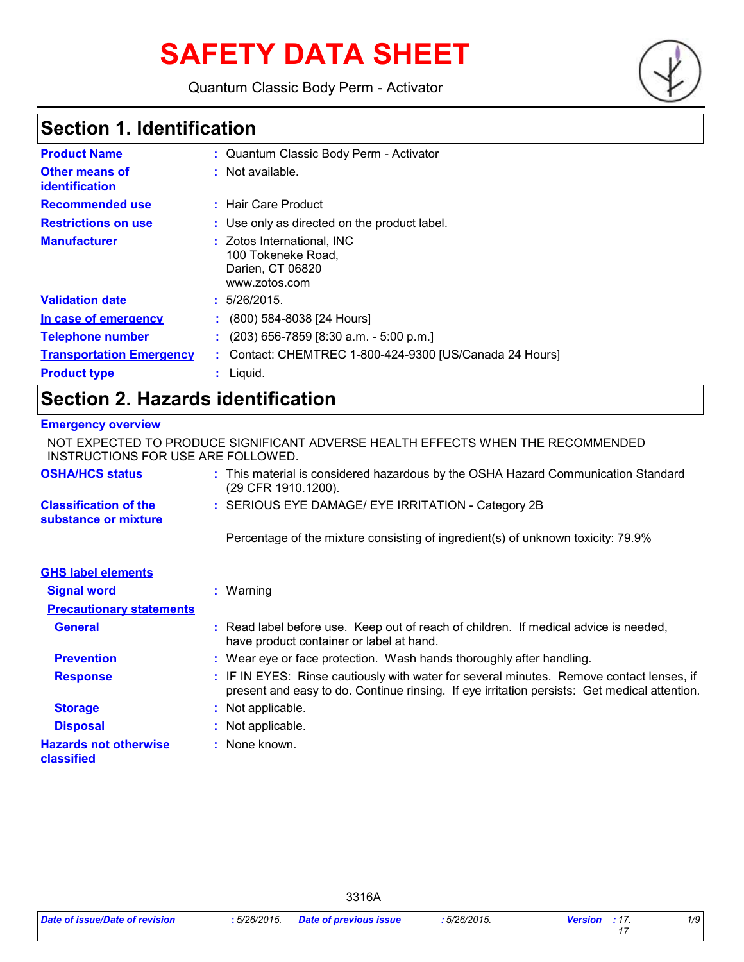# **SAFETY DATA SHEET**

Quantum Classic Body Perm - Activator



# **Section 1. Identification**

| <b>Product Name</b>              | : Quantum Classic Body Perm - Activator                                               |
|----------------------------------|---------------------------------------------------------------------------------------|
| Other means of<br>identification | $:$ Not available.                                                                    |
| <b>Recommended use</b>           | : Hair Care Product                                                                   |
| <b>Restrictions on use</b>       | : Use only as directed on the product label.                                          |
| <b>Manufacturer</b>              | : Zotos International, INC<br>100 Tokeneke Road,<br>Darien, CT 06820<br>www.zotos.com |
| <b>Validation date</b>           | : 5/26/2015.                                                                          |
| In case of emergency             | (800) 584-8038 [24 Hours]                                                             |
| <b>Telephone number</b>          | $(203)$ 656-7859 [8:30 a.m. - 5:00 p.m.]                                              |
| <b>Transportation Emergency</b>  | : Contact: CHEMTREC 1-800-424-9300 [US/Canada 24 Hours]                               |
| <b>Product type</b>              | $:$ Liquid.                                                                           |

# **Section 2. Hazards identification**

### **Emergency overview**

| NOT EXPECTED TO PRODUCE SIGNIFICANT ADVERSE HEALTH EFFECTS WHEN THE RECOMMENDED<br>INSTRUCTIONS FOR USE ARE FOLLOWED. |  |                                                                                                                                                                                          |
|-----------------------------------------------------------------------------------------------------------------------|--|------------------------------------------------------------------------------------------------------------------------------------------------------------------------------------------|
| <b>OSHA/HCS status</b>                                                                                                |  | : This material is considered hazardous by the OSHA Hazard Communication Standard<br>(29 CFR 1910.1200).                                                                                 |
| <b>Classification of the</b><br>substance or mixture                                                                  |  | : SERIOUS EYE DAMAGE/ EYE IRRITATION - Category 2B                                                                                                                                       |
|                                                                                                                       |  | Percentage of the mixture consisting of ingredient(s) of unknown toxicity: 79.9%                                                                                                         |
| <b>GHS label elements</b>                                                                                             |  |                                                                                                                                                                                          |
| <b>Signal word</b>                                                                                                    |  | $:$ Warning                                                                                                                                                                              |
| <b>Precautionary statements</b>                                                                                       |  |                                                                                                                                                                                          |
| <b>General</b>                                                                                                        |  | : Read label before use. Keep out of reach of children. If medical advice is needed,<br>have product container or label at hand.                                                         |
| <b>Prevention</b>                                                                                                     |  | : Wear eye or face protection. Wash hands thoroughly after handling.                                                                                                                     |
| <b>Response</b>                                                                                                       |  | : IF IN EYES: Rinse cautiously with water for several minutes. Remove contact lenses, if<br>present and easy to do. Continue rinsing. If eye irritation persists: Get medical attention. |
| <b>Storage</b>                                                                                                        |  | : Not applicable.                                                                                                                                                                        |
| <b>Disposal</b>                                                                                                       |  | : Not applicable.                                                                                                                                                                        |
| <b>Hazards not otherwise</b><br>classified                                                                            |  | : None known.                                                                                                                                                                            |

3316A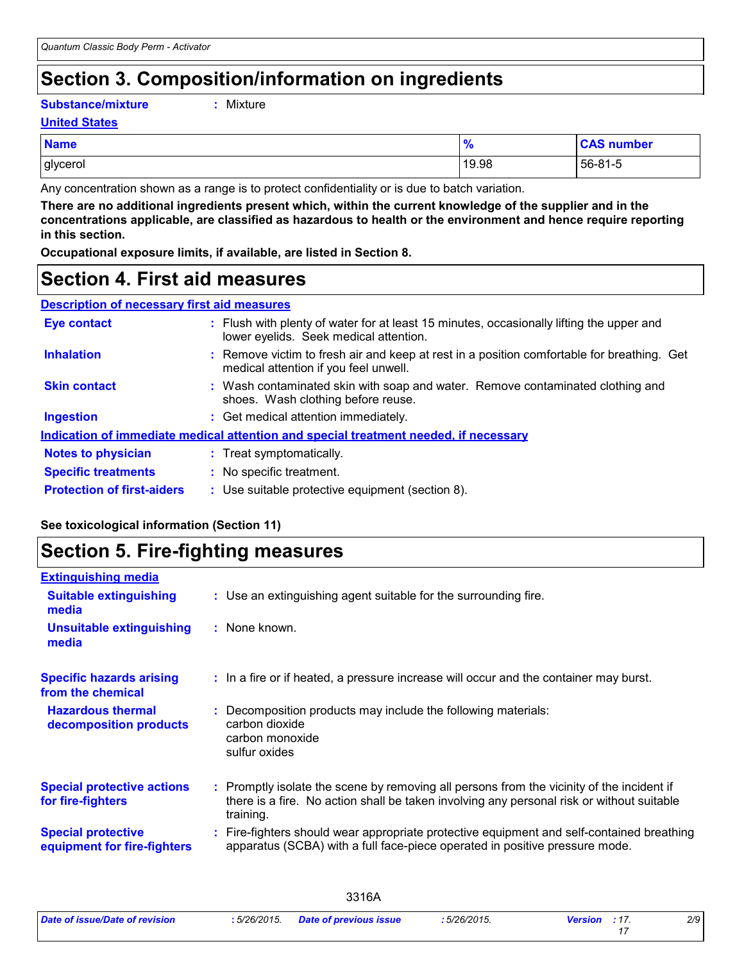# **Section 3. Composition/information on ingredients**

**Substance/mixture :**

```
Mixture
```
#### **United States**

| <b>Name</b> | -70   | <b>CAS number</b> |
|-------------|-------|-------------------|
| glycerol    | 19.98 | 56-81-5           |

Any concentration shown as a range is to protect confidentiality or is due to batch variation.

**There are no additional ingredients present which, within the current knowledge of the supplier and in the concentrations applicable, are classified as hazardous to health or the environment and hence require reporting in this section.**

**Occupational exposure limits, if available, are listed in Section 8.**

### **Section 4. First aid measures**

| <b>Description of necessary first aid measures</b> |  |                                                      |  |
|----------------------------------------------------|--|------------------------------------------------------|--|
| <b>The Committee of Committee</b>                  |  | وروائكم والمستمرا مراطف والمتواطئ والمرارات والتناول |  |

| <b>Eye contact</b>                | : Flush with plenty of water for at least 15 minutes, occasionally lifting the upper and<br>lower eyelids. Seek medical attention.  |
|-----------------------------------|-------------------------------------------------------------------------------------------------------------------------------------|
| <b>Inhalation</b>                 | : Remove victim to fresh air and keep at rest in a position comfortable for breathing. Get<br>medical attention if you feel unwell. |
| <b>Skin contact</b>               | : Wash contaminated skin with soap and water. Remove contaminated clothing and<br>shoes. Wash clothing before reuse.                |
| <b>Ingestion</b>                  | : Get medical attention immediately.                                                                                                |
|                                   | Indication of immediate medical attention and special treatment needed, if necessary                                                |
| <b>Notes to physician</b>         | : Treat symptomatically.                                                                                                            |
| <b>Specific treatments</b>        | : No specific treatment.                                                                                                            |
| <b>Protection of first-aiders</b> | : Use suitable protective equipment (section 8).                                                                                    |

### **See toxicological information (Section 11)**

### **Section 5. Fire-fighting measures**

| <b>Extinguishing media</b>                               |                                                                                                                                                                                                     |
|----------------------------------------------------------|-----------------------------------------------------------------------------------------------------------------------------------------------------------------------------------------------------|
| <b>Suitable extinguishing</b><br>media                   | : Use an extinguishing agent suitable for the surrounding fire.                                                                                                                                     |
| Unsuitable extinguishing<br>media                        | : None known.                                                                                                                                                                                       |
| <b>Specific hazards arising</b><br>from the chemical     | : In a fire or if heated, a pressure increase will occur and the container may burst.                                                                                                               |
| <b>Hazardous thermal</b><br>decomposition products       | Decomposition products may include the following materials:<br>carbon dioxide<br>carbon monoxide<br>sulfur oxides                                                                                   |
| <b>Special protective actions</b><br>for fire-fighters   | : Promptly isolate the scene by removing all persons from the vicinity of the incident if<br>there is a fire. No action shall be taken involving any personal risk or without suitable<br>training. |
| <b>Special protective</b><br>equipment for fire-fighters | Fire-fighters should wear appropriate protective equipment and self-contained breathing<br>apparatus (SCBA) with a full face-piece operated in positive pressure mode.                              |

3316A

*2/9*

*17*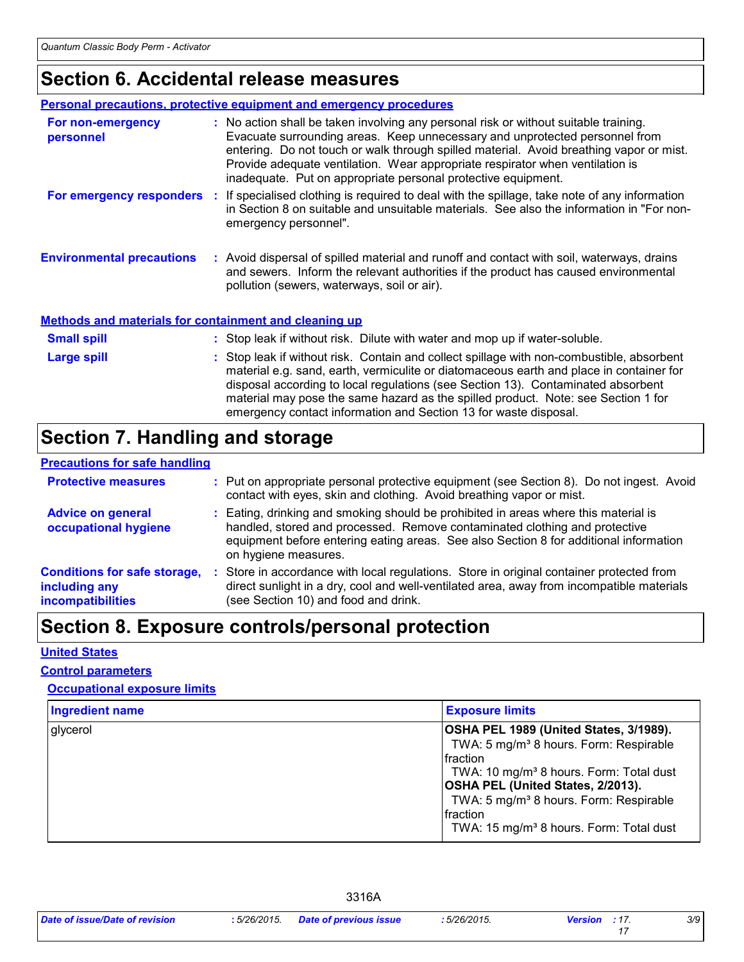# **Section 6. Accidental release measures**

|                                  | Personal precautions, protective equipment and emergency procedures                                                                                                                                                                                                                                                                                                                                              |
|----------------------------------|------------------------------------------------------------------------------------------------------------------------------------------------------------------------------------------------------------------------------------------------------------------------------------------------------------------------------------------------------------------------------------------------------------------|
| For non-emergency<br>personnel   | : No action shall be taken involving any personal risk or without suitable training.<br>Evacuate surrounding areas. Keep unnecessary and unprotected personnel from<br>entering. Do not touch or walk through spilled material. Avoid breathing vapor or mist.<br>Provide adequate ventilation. Wear appropriate respirator when ventilation is<br>inadequate. Put on appropriate personal protective equipment. |
| For emergency responders :       | If specialised clothing is required to deal with the spillage, take note of any information<br>in Section 8 on suitable and unsuitable materials. See also the information in "For non-<br>emergency personnel".                                                                                                                                                                                                 |
| <b>Environmental precautions</b> | : Avoid dispersal of spilled material and runoff and contact with soil, waterways, drains<br>and sewers. Inform the relevant authorities if the product has caused environmental<br>pollution (sewers, waterways, soil or air).                                                                                                                                                                                  |

#### **Methods and materials for containment and cleaning up**

| <b>Small spill</b> | : Stop leak if without risk. Dilute with water and mop up if water-soluble.                                                                                                                                                                                                                                                                                                                                                       |
|--------------------|-----------------------------------------------------------------------------------------------------------------------------------------------------------------------------------------------------------------------------------------------------------------------------------------------------------------------------------------------------------------------------------------------------------------------------------|
| <b>Large spill</b> | : Stop leak if without risk. Contain and collect spillage with non-combustible, absorbent<br>material e.g. sand, earth, vermiculite or diatomaceous earth and place in container for<br>disposal according to local regulations (see Section 13). Contaminated absorbent<br>material may pose the same hazard as the spilled product. Note: see Section 1 for<br>emergency contact information and Section 13 for waste disposal. |

# **Section 7. Handling and storage**

### **Precautions for safe handling**

| <b>Protective measures</b>                                                       |     | : Put on appropriate personal protective equipment (see Section 8). Do not ingest. Avoid<br>contact with eyes, skin and clothing. Avoid breathing vapor or mist.                                                                                                                   |
|----------------------------------------------------------------------------------|-----|------------------------------------------------------------------------------------------------------------------------------------------------------------------------------------------------------------------------------------------------------------------------------------|
| <b>Advice on general</b><br>occupational hygiene                                 |     | : Eating, drinking and smoking should be prohibited in areas where this material is<br>handled, stored and processed. Remove contaminated clothing and protective<br>equipment before entering eating areas. See also Section 8 for additional information<br>on hygiene measures. |
| <b>Conditions for safe storage,</b><br>including any<br><b>incompatibilities</b> | -10 | Store in accordance with local regulations. Store in original container protected from<br>direct sunlight in a dry, cool and well-ventilated area, away from incompatible materials<br>(see Section 10) and food and drink.                                                        |

# **Section 8. Exposure controls/personal protection**

#### **United States**

#### **Control parameters**

#### **Occupational exposure limits**

| <b>Ingredient name</b> | <b>Exposure limits</b>                                                                                                                                                                                                                                                                                                                 |
|------------------------|----------------------------------------------------------------------------------------------------------------------------------------------------------------------------------------------------------------------------------------------------------------------------------------------------------------------------------------|
| glycerol               | OSHA PEL 1989 (United States, 3/1989).<br>TWA: 5 mg/m <sup>3</sup> 8 hours. Form: Respirable<br>Ifraction<br>TWA: 10 mg/m <sup>3</sup> 8 hours. Form: Total dust<br><b>OSHA PEL (United States, 2/2013).</b><br>TWA: 5 mg/m <sup>3</sup> 8 hours. Form: Respirable<br>Ifraction<br>TWA: 15 mg/m <sup>3</sup> 8 hours. Form: Total dust |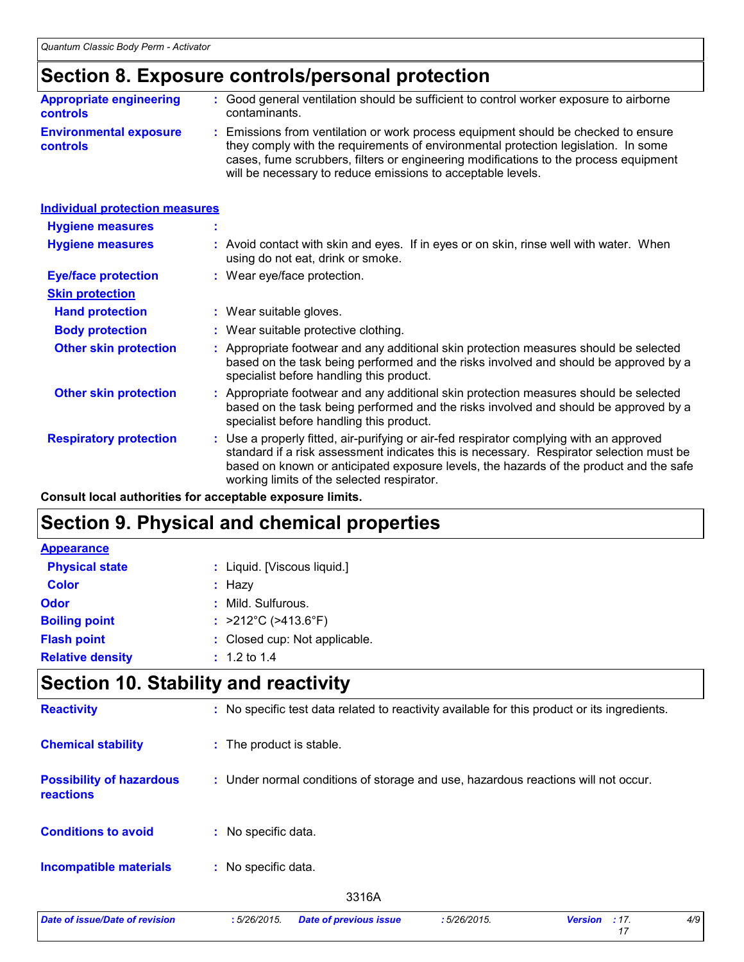### **Section 8. Exposure controls/personal protection**

| <b>Appropriate engineering</b>                   | : Good general ventilation should be sufficient to control worker exposure to airborne                                                                                                                                                                                                                                          |
|--------------------------------------------------|---------------------------------------------------------------------------------------------------------------------------------------------------------------------------------------------------------------------------------------------------------------------------------------------------------------------------------|
| <b>controls</b>                                  | contaminants.                                                                                                                                                                                                                                                                                                                   |
| <b>Environmental exposure</b><br><b>controls</b> | : Emissions from ventilation or work process equipment should be checked to ensure<br>they comply with the requirements of environmental protection legislation. In some<br>cases, fume scrubbers, filters or engineering modifications to the process equipment<br>will be necessary to reduce emissions to acceptable levels. |

| <b>Individual protection measures</b> |                                                                                                                                                                                                                                                                                                                            |
|---------------------------------------|----------------------------------------------------------------------------------------------------------------------------------------------------------------------------------------------------------------------------------------------------------------------------------------------------------------------------|
| <b>Hygiene measures</b>               |                                                                                                                                                                                                                                                                                                                            |
| <b>Hygiene measures</b>               | : Avoid contact with skin and eyes. If in eyes or on skin, rinse well with water. When<br>using do not eat, drink or smoke.                                                                                                                                                                                                |
| <b>Eye/face protection</b>            | : Wear eye/face protection.                                                                                                                                                                                                                                                                                                |
| <b>Skin protection</b>                |                                                                                                                                                                                                                                                                                                                            |
| <b>Hand protection</b>                | : Wear suitable gloves.                                                                                                                                                                                                                                                                                                    |
| <b>Body protection</b>                | : Wear suitable protective clothing.                                                                                                                                                                                                                                                                                       |
| <b>Other skin protection</b>          | : Appropriate footwear and any additional skin protection measures should be selected<br>based on the task being performed and the risks involved and should be approved by a<br>specialist before handling this product.                                                                                                  |
| <b>Other skin protection</b>          | : Appropriate footwear and any additional skin protection measures should be selected<br>based on the task being performed and the risks involved and should be approved by a<br>specialist before handling this product.                                                                                                  |
| <b>Respiratory protection</b>         | : Use a properly fitted, air-purifying or air-fed respirator complying with an approved<br>standard if a risk assessment indicates this is necessary. Respirator selection must be<br>based on known or anticipated exposure levels, the hazards of the product and the safe<br>working limits of the selected respirator. |

**Consult local authorities for acceptable exposure limits.**

# **Section 9. Physical and chemical properties**

| <b>Appearance</b>       |                                          |
|-------------------------|------------------------------------------|
| <b>Physical state</b>   | : Liquid. [Viscous liquid.]              |
| <b>Color</b>            | : Hazy                                   |
| Odor                    | : Mild. Sulfurous.                       |
| <b>Boiling point</b>    | : $>212^{\circ}$ C ( $>413.6^{\circ}$ F) |
| <b>Flash point</b>      | : Closed cup: Not applicable.            |
| <b>Relative density</b> | $: 1.2 \text{ to } 1.4$                  |

# **Section 10. Stability and reactivity**

| <b>Reactivity</b>                                   |                          |                               |             | : No specific test data related to reactivity available for this product or its ingredients. |     |
|-----------------------------------------------------|--------------------------|-------------------------------|-------------|----------------------------------------------------------------------------------------------|-----|
| <b>Chemical stability</b>                           | : The product is stable. |                               |             |                                                                                              |     |
| <b>Possibility of hazardous</b><br><b>reactions</b> |                          |                               |             | : Under normal conditions of storage and use, hazardous reactions will not occur.            |     |
| <b>Conditions to avoid</b>                          | : No specific data.      |                               |             |                                                                                              |     |
| <b>Incompatible materials</b>                       | : No specific data.      |                               |             |                                                                                              |     |
|                                                     |                          | 3316A                         |             |                                                                                              |     |
| Date of issue/Date of revision                      | :5/26/2015.              | <b>Date of previous issue</b> | :5/26/2015. | <b>Version</b><br>: 17.<br>17                                                                | 4/9 |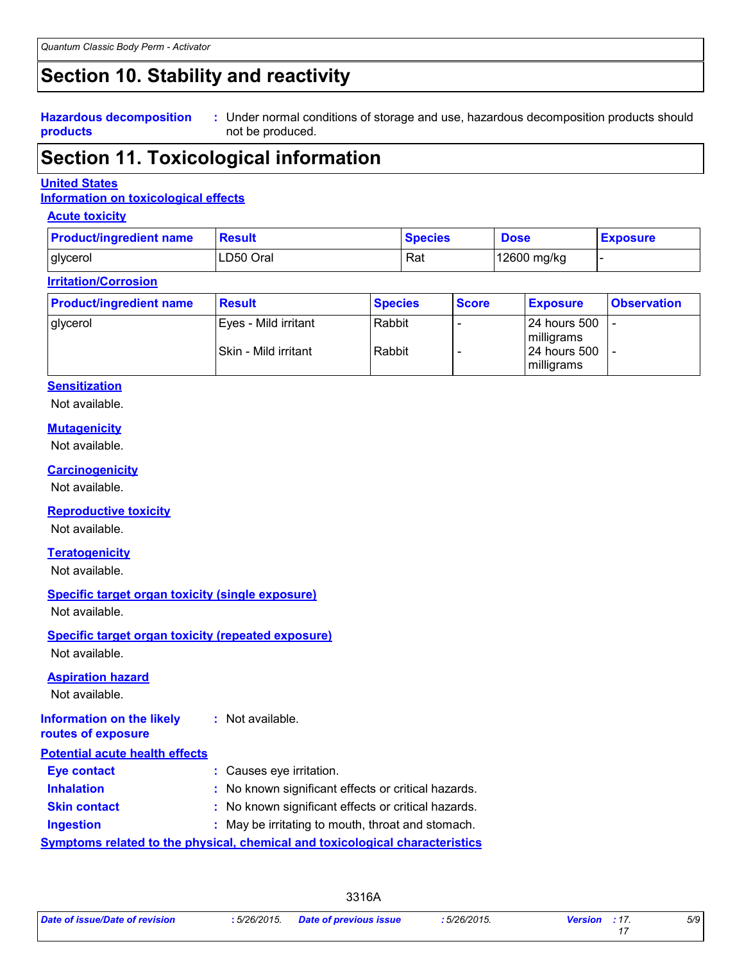# **Section 10. Stability and reactivity**

**Hazardous decomposition products**

Under normal conditions of storage and use, hazardous decomposition products should **:** not be produced.

### **Section 11. Toxicological information**

#### **United States**

### **Information on toxicological effects**

#### **Acute toxicity**

| <b>Product/ingredient name</b> | Result    | <b>Species</b> | <b>Dose</b> | <b>Exposure</b> |
|--------------------------------|-----------|----------------|-------------|-----------------|
| glycerol                       | LD50 Oral | Rat            | 12600 mg/kg |                 |

#### **Irritation/Corrosion**

| <b>Product/ingredient name</b> | <b>Result</b>          | <b>Species</b> | <b>Score</b> | <b>Exposure</b>                      | <b>Observation</b> |
|--------------------------------|------------------------|----------------|--------------|--------------------------------------|--------------------|
| glycerol                       | l Eves - Mild irritant | Rabbit         |              | 124 hours 500<br>milligrams          |                    |
|                                | l Skin - Mild irritant | Rabbit         |              | 124 hours 500<br><b>I</b> milligrams |                    |

#### **Sensitization**

Not available.

#### **Mutagenicity**

Not available.

#### **Carcinogenicity**

Not available.

#### **Reproductive toxicity**

Not available.

#### **Teratogenicity**

Not available.

### **Specific target organ toxicity (single exposure)**

Not available.

#### **Specific target organ toxicity (repeated exposure)**

Not available.

#### **Aspiration hazard**

Not available.

| Information on the likely             | : Not available.         |
|---------------------------------------|--------------------------|
| routes of exposure                    |                          |
| <b>Potential acute health effects</b> |                          |
| Eye contact                           | : Causes eye irritation. |

| <b>Inhalation</b> | : No known significant effects or critical hazards. |
|-------------------|-----------------------------------------------------|
|                   |                                                     |

**Skin contact :** No known significant effects or critical hazards.

**Ingestion :** May be irritating to mouth, throat and stomach.

**Symptoms related to the physical, chemical and toxicological characteristics**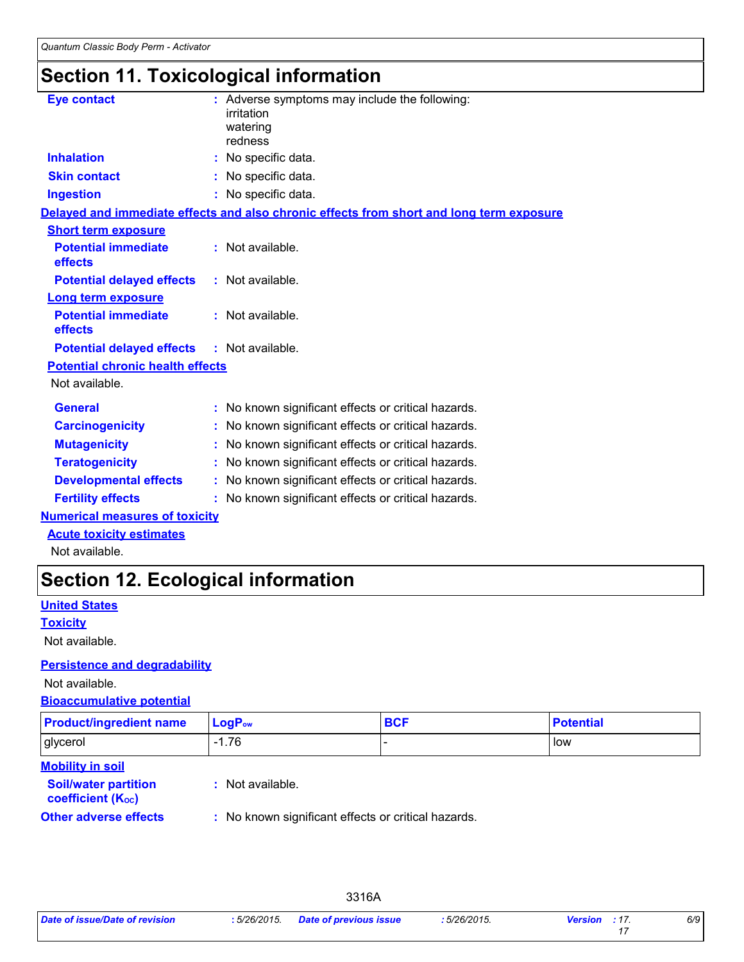# **Section 11. Toxicological information**

| <b>Eye contact</b>                      | : Adverse symptoms may include the following:<br>irritation<br>watering<br>redness       |
|-----------------------------------------|------------------------------------------------------------------------------------------|
| <b>Inhalation</b>                       | : No specific data.                                                                      |
| <b>Skin contact</b>                     | : No specific data.                                                                      |
| <b>Ingestion</b>                        | : No specific data.                                                                      |
|                                         | Delayed and immediate effects and also chronic effects from short and long term exposure |
| <b>Short term exposure</b>              |                                                                                          |
| <b>Potential immediate</b><br>effects   | : Not available.                                                                         |
| <b>Potential delayed effects</b>        | : Not available.                                                                         |
| <b>Long term exposure</b>               |                                                                                          |
| <b>Potential immediate</b><br>effects   | : Not available.                                                                         |
| <b>Potential delayed effects</b>        | : Not available.                                                                         |
| <b>Potential chronic health effects</b> |                                                                                          |
| Not available.                          |                                                                                          |
| <b>General</b>                          | : No known significant effects or critical hazards.                                      |
| <b>Carcinogenicity</b>                  | : No known significant effects or critical hazards.                                      |
| <b>Mutagenicity</b>                     | : No known significant effects or critical hazards.                                      |
| <b>Teratogenicity</b>                   | : No known significant effects or critical hazards.                                      |
| <b>Developmental effects</b>            | : No known significant effects or critical hazards.                                      |
| <b>Fertility effects</b>                | : No known significant effects or critical hazards.                                      |
| a dia any kaominina dia 4.000 metatra.  |                                                                                          |

### **Numerical measures of toxicity**

**Acute toxicity estimates**

Not available.

# **Section 12. Ecological information**

### **United States**

**Toxicity**

Not available.

### **Persistence and degradability**

Not available.

### **Bioaccumulative potential**

| <b>Product/ingredient name</b>                          | $LogP_{ow}$      | <b>BCF</b> | <b>Potential</b> |
|---------------------------------------------------------|------------------|------------|------------------|
| glycerol                                                | $-1.76$          |            | low              |
| <b>Mobility in soil</b>                                 |                  |            |                  |
| <b>Soil/water partition</b><br><b>coefficient (Koc)</b> | : Not available. |            |                  |

**Other adverse effects** : No known significant effects or critical hazards.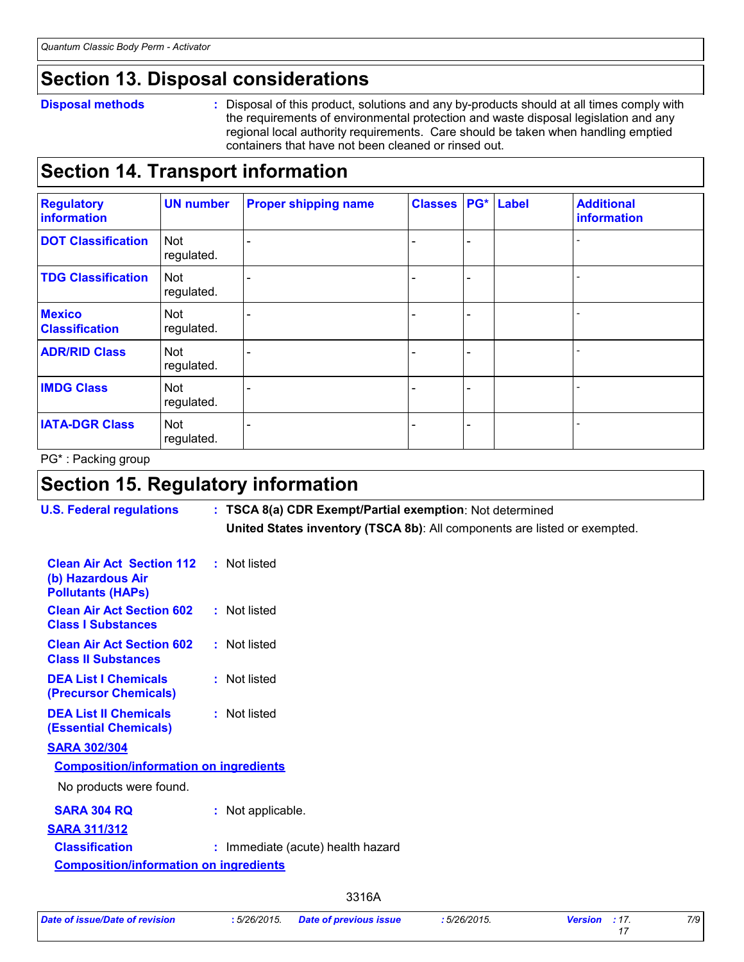### **Section 13. Disposal considerations**

#### **Disposal methods :**

Disposal of this product, solutions and any by-products should at all times comply with the requirements of environmental protection and waste disposal legislation and any regional local authority requirements. Care should be taken when handling emptied containers that have not been cleaned or rinsed out.

### **Section 14. Transport information**

| <b>Regulatory</b><br>information       | <b>UN number</b>         | <b>Proper shipping name</b> | <b>Classes PG* Label</b> |  | <b>Additional</b><br>information |
|----------------------------------------|--------------------------|-----------------------------|--------------------------|--|----------------------------------|
| <b>DOT Classification</b>              | Not<br>regulated.        |                             |                          |  |                                  |
| <b>TDG Classification</b>              | Not<br>regulated.        |                             |                          |  |                                  |
| <b>Mexico</b><br><b>Classification</b> | Not<br>regulated.        |                             |                          |  |                                  |
| <b>ADR/RID Class</b>                   | <b>Not</b><br>regulated. |                             |                          |  |                                  |
| <b>IMDG Class</b>                      | Not<br>regulated.        |                             |                          |  |                                  |
| <b>IATA-DGR Class</b>                  | Not<br>regulated.        |                             |                          |  |                                  |

PG\* : Packing group

# **Section 15. Regulatory information**

| <b>U.S. Federal regulations</b>                                                   | : TSCA 8(a) CDR Exempt/Partial exemption: Not determined<br>United States inventory (TSCA 8b): All components are listed or exempted. |
|-----------------------------------------------------------------------------------|---------------------------------------------------------------------------------------------------------------------------------------|
| <b>Clean Air Act Section 112</b><br>(b) Hazardous Air<br><b>Pollutants (HAPS)</b> | : Not listed                                                                                                                          |
| <b>Clean Air Act Section 602</b><br><b>Class I Substances</b>                     | : Not listed                                                                                                                          |
| <b>Clean Air Act Section 602</b><br><b>Class II Substances</b>                    | : Not listed                                                                                                                          |
| <b>DEA List I Chemicals</b><br>(Precursor Chemicals)                              | : Not listed                                                                                                                          |
| <b>DEA List II Chemicals</b><br><b>(Essential Chemicals)</b>                      | : Not listed                                                                                                                          |
| <b>SARA 302/304</b>                                                               |                                                                                                                                       |
| <b>Composition/information on ingredients</b>                                     |                                                                                                                                       |
| No products were found.                                                           |                                                                                                                                       |
| <b>SARA 304 RQ</b>                                                                | : Not applicable.                                                                                                                     |
| <b>SARA 311/312</b>                                                               |                                                                                                                                       |
| <b>Classification</b>                                                             | : Immediate (acute) health hazard                                                                                                     |
| <b>Composition/information on ingredients</b>                                     |                                                                                                                                       |
|                                                                                   | 3316A                                                                                                                                 |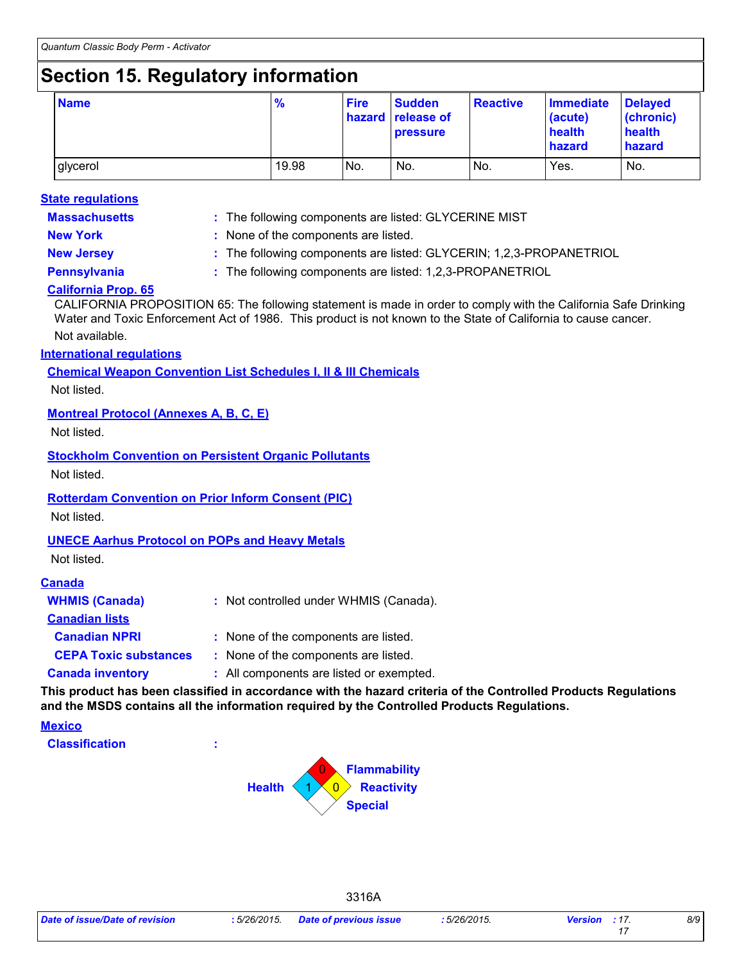# **Section 15. Regulatory information**

| <b>Name</b> | $\frac{9}{6}$ | <b>Fire</b> | <b>Sudden</b><br>hazard release of<br><b>pressure</b> | <b>Reactive</b> | <b>Immediate</b><br>(acute)<br>health<br>hazard | <b>Delayed</b><br>(chronic)<br>health<br>hazard |
|-------------|---------------|-------------|-------------------------------------------------------|-----------------|-------------------------------------------------|-------------------------------------------------|
| glycerol    | 19.98         | No.         | No.                                                   | No.             | Yes.                                            | No.                                             |

#### **State regulations**

**Massachusetts :**

The following components are listed: GLYCERINE MIST

**New York :** None of the components are listed.

**New Jersey :** The following components are listed: GLYCERIN; 1,2,3-PROPANETRIOL

**Pennsylvania :** The following components are listed: 1,2,3-PROPANETRIOL

### **California Prop. 65**

CALIFORNIA PROPOSITION 65: The following statement is made in order to comply with the California Safe Drinking Water and Toxic Enforcement Act of 1986. This product is not known to the State of California to cause cancer.

Not available.

### **International regulations**

**Chemical Weapon Convention List Schedules I, II & III Chemicals**

Not listed.

### **Montreal Protocol (Annexes A, B, C, E)**

Not listed.

**Stockholm Convention on Persistent Organic Pollutants**

Not listed.

### **Rotterdam Convention on Prior Inform Consent (PIC)**

Not listed.

### **UNECE Aarhus Protocol on POPs and Heavy Metals**

Not listed.

#### **Canada**

| <b>WHMIS (Canada)</b>        | : Not controlled under WHMIS (Canada).   |
|------------------------------|------------------------------------------|
| <b>Canadian lists</b>        |                                          |
| <b>Canadian NPRI</b>         | : None of the components are listed.     |
| <b>CEPA Toxic substances</b> | : None of the components are listed.     |
| <b>Canada inventory</b>      | : All components are listed or exempted. |
|                              |                                          |

**This product has been classified in accordance with the hazard criteria of the Controlled Products Regulations and the MSDS contains all the information required by the Controlled Products Regulations.**

3316A

#### **Mexico**

**Classification :**